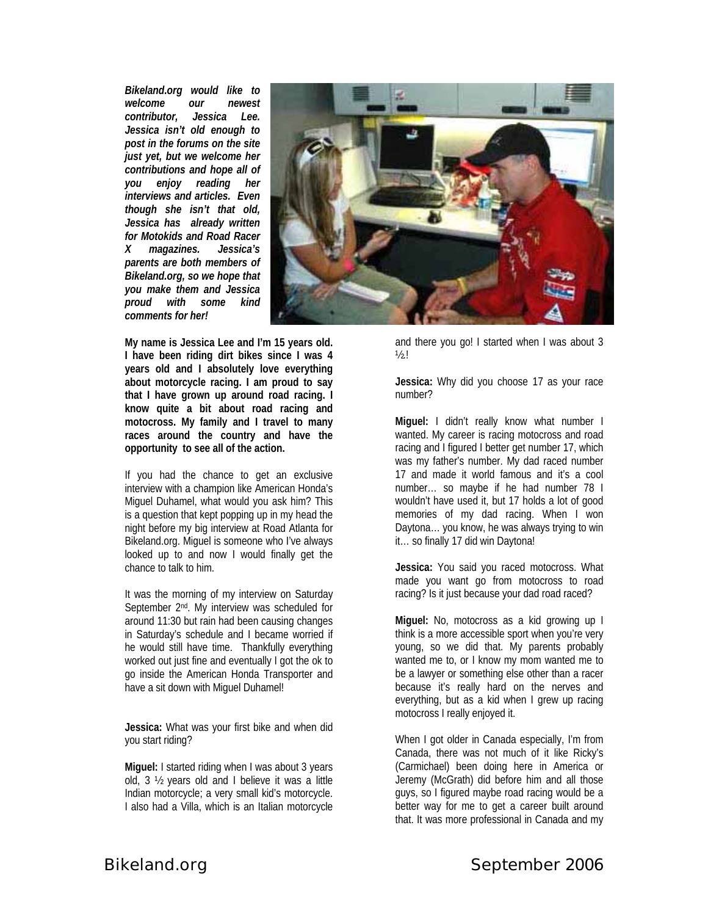*Bikeland.org would like to welcome our newest contributor, Jessica Lee. Jessica isn't old enough to post in the forums on the site just yet, but we welcome her contributions and hope all of you enjoy reading her interviews and articles. Even though she isn't that old, Jessica has already written for Motokids and Road Racer X magazines. Jessica's parents are both members of Bikeland.org, so we hope that you make them and Jessica proud with some kind comments for her!* 



**My name is Jessica Lee and I'm 15 years old. I have been riding dirt bikes since I was 4 years old and I absolutely love everything about motorcycle racing. I am proud to say that I have grown up around road racing. I know quite a bit about road racing and motocross. My family and I travel to many races around the country and have the opportunity to see all of the action.** 

If you had the chance to get an exclusive interview with a champion like American Honda's Miguel Duhamel, what would you ask him? This is a question that kept popping up in my head the night before my big interview at Road Atlanta for Bikeland.org. Miguel is someone who I've always looked up to and now I would finally get the chance to talk to him.

It was the morning of my interview on Saturday September 2nd. My interview was scheduled for around 11:30 but rain had been causing changes in Saturday's schedule and I became worried if he would still have time. Thankfully everything worked out just fine and eventually I got the ok to go inside the American Honda Transporter and have a sit down with Miguel Duhamel!

**Jessica:** What was your first bike and when did you start riding?

**Miguel:** I started riding when I was about 3 years old, 3 ½ years old and I believe it was a little Indian motorcycle; a very small kid's motorcycle. I also had a Villa, which is an Italian motorcycle

and there you go! I started when I was about 3  $1/2.1$ 

**Jessica:** Why did you choose 17 as your race number?

**Miguel:** I didn't really know what number I wanted. My career is racing motocross and road racing and I figured I better get number 17, which was my father's number. My dad raced number 17 and made it world famous and it's a cool number… so maybe if he had number 78 I wouldn't have used it, but 17 holds a lot of good memories of my dad racing. When I won Daytona… you know, he was always trying to win it… so finally 17 did win Daytona!

**Jessica:** You said you raced motocross. What made you want go from motocross to road racing? Is it just because your dad road raced?

**Miguel:** No, motocross as a kid growing up I think is a more accessible sport when you're very young, so we did that. My parents probably wanted me to, or I know my mom wanted me to be a lawyer or something else other than a racer because it's really hard on the nerves and everything, but as a kid when I grew up racing motocross I really enjoyed it.

When I got older in Canada especially, I'm from Canada, there was not much of it like Ricky's (Carmichael) been doing here in America or Jeremy (McGrath) did before him and all those guys, so I figured maybe road racing would be a better way for me to get a career built around that. It was more professional in Canada and my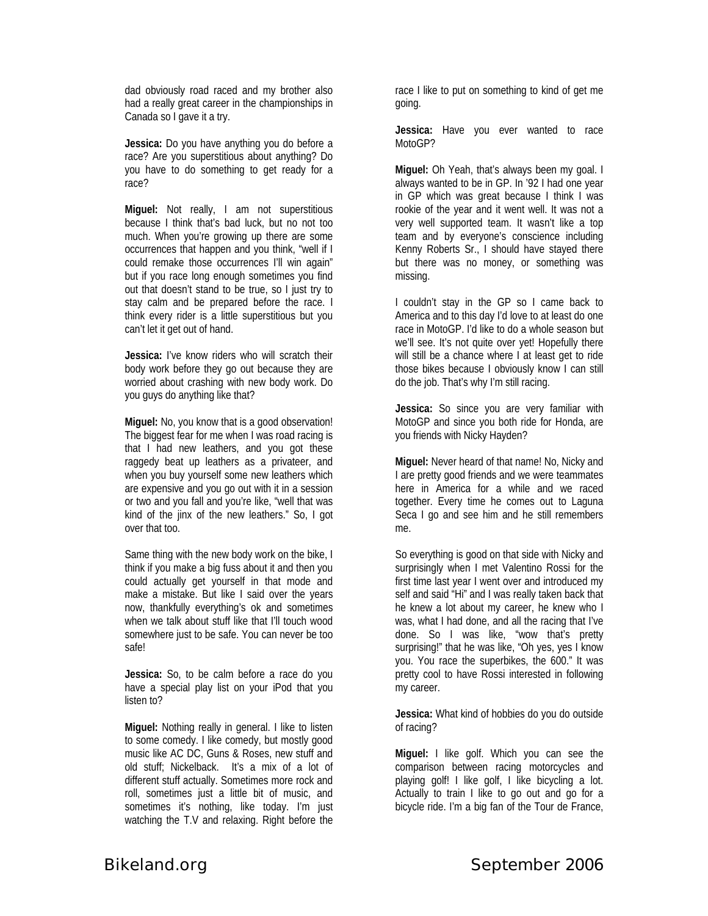dad obviously road raced and my brother also had a really great career in the championships in Canada so I gave it a try.

**Jessica:** Do you have anything you do before a race? Are you superstitious about anything? Do you have to do something to get ready for a race?

**Miguel:** Not really, I am not superstitious because I think that's bad luck, but no not too much. When you're growing up there are some occurrences that happen and you think, "well if I could remake those occurrences I'll win again" but if you race long enough sometimes you find out that doesn't stand to be true, so I just try to stay calm and be prepared before the race. I think every rider is a little superstitious but you can't let it get out of hand.

**Jessica:** I've know riders who will scratch their body work before they go out because they are worried about crashing with new body work. Do you guys do anything like that?

**Miguel:** No, you know that is a good observation! The biggest fear for me when I was road racing is that I had new leathers, and you got these raggedy beat up leathers as a privateer, and when you buy yourself some new leathers which are expensive and you go out with it in a session or two and you fall and you're like, "well that was kind of the jinx of the new leathers." So, I got over that too.

Same thing with the new body work on the bike, I think if you make a big fuss about it and then you could actually get yourself in that mode and make a mistake. But like I said over the years now, thankfully everything's ok and sometimes when we talk about stuff like that I'll touch wood somewhere just to be safe. You can never be too safe!

**Jessica:** So, to be calm before a race do you have a special play list on your iPod that you listen to?

**Miguel:** Nothing really in general. I like to listen to some comedy. I like comedy, but mostly good music like AC DC, Guns & Roses, new stuff and old stuff; Nickelback. It's a mix of a lot of different stuff actually. Sometimes more rock and roll, sometimes just a little bit of music, and sometimes it's nothing, like today. I'm just watching the T.V and relaxing. Right before the race I like to put on something to kind of get me going.

**Jessica:** Have you ever wanted to race MotoGP?

**Miguel:** Oh Yeah, that's always been my goal. I always wanted to be in GP. In '92 I had one year in GP which was great because I think I was rookie of the year and it went well. It was not a very well supported team. It wasn't like a top team and by everyone's conscience including Kenny Roberts Sr., I should have stayed there but there was no money, or something was missing.

I couldn't stay in the GP so I came back to America and to this day I'd love to at least do one race in MotoGP. I'd like to do a whole season but we'll see. It's not quite over yet! Hopefully there will still be a chance where I at least get to ride those bikes because I obviously know I can still do the job. That's why I'm still racing.

**Jessica:** So since you are very familiar with MotoGP and since you both ride for Honda, are you friends with Nicky Hayden?

**Miguel:** Never heard of that name! No, Nicky and I are pretty good friends and we were teammates here in America for a while and we raced together. Every time he comes out to Laguna Seca I go and see him and he still remembers me.

So everything is good on that side with Nicky and surprisingly when I met Valentino Rossi for the first time last year I went over and introduced my self and said "Hi" and I was really taken back that he knew a lot about my career, he knew who I was, what I had done, and all the racing that I've done. So I was like, "wow that's pretty surprising!" that he was like, "Oh yes, yes I know you. You race the superbikes, the 600." It was pretty cool to have Rossi interested in following my career.

**Jessica:** What kind of hobbies do you do outside of racing?

**Miguel:** I like golf. Which you can see the comparison between racing motorcycles and playing golf! I like golf, I like bicycling a lot. Actually to train I like to go out and go for a bicycle ride. I'm a big fan of the Tour de France,